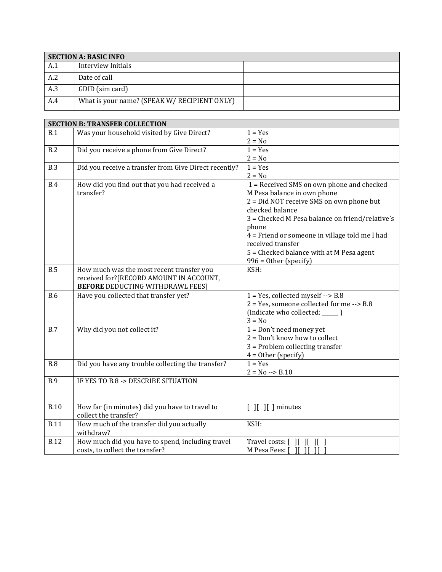| <b>SECTION A: BASIC INFO</b> |                                              |  |
|------------------------------|----------------------------------------------|--|
| A.1                          | Interview Initials                           |  |
| A.2                          | Date of call                                 |  |
| A.3                          | GDID (sim card)                              |  |
| A.4                          | What is your name? (SPEAK W/ RECIPIENT ONLY) |  |

|             | <b>SECTION B: TRANSFER COLLECTION</b>                 |                                                 |
|-------------|-------------------------------------------------------|-------------------------------------------------|
| B.1         | Was your household visited by Give Direct?            | $1 = Yes$                                       |
|             |                                                       | $2 = No$                                        |
| B.2         | Did you receive a phone from Give Direct?             | $1 = Yes$                                       |
|             |                                                       | $2 = No$                                        |
| <b>B.3</b>  | Did you receive a transfer from Give Direct recently? | $1 = Yes$                                       |
|             |                                                       | $2 = No$                                        |
| <b>B.4</b>  | How did you find out that you had received a          | 1 = Received SMS on own phone and checked       |
|             | transfer?                                             | M Pesa balance in own phone                     |
|             |                                                       | 2 = Did NOT receive SMS on own phone but        |
|             |                                                       | checked balance                                 |
|             |                                                       | 3 = Checked M Pesa balance on friend/relative's |
|             |                                                       | phone                                           |
|             |                                                       | 4 = Friend or someone in village told me I had  |
|             |                                                       | received transfer                               |
|             |                                                       | 5 = Checked balance with at M Pesa agent        |
|             |                                                       | 996 = Other (specify)                           |
| B.5         | How much was the most recent transfer you             | KSH:                                            |
|             | received for?[RECORD AMOUNT IN ACCOUNT,               |                                                 |
|             | <b>BEFORE DEDUCTING WITHDRAWL FEES]</b>               |                                                 |
| <b>B.6</b>  | Have you collected that transfer yet?                 | $1 = Yes$ , collected myself --> B.8            |
|             |                                                       | 2 = Yes, someone collected for me --> B.8       |
|             |                                                       | (Indicate who collected: _____ )                |
|             |                                                       | $3 = No$                                        |
| <b>B.7</b>  | Why did you not collect it?                           | $1 = Don't need money yet$                      |
|             |                                                       | $2 = Don't know how to collect$                 |
|             |                                                       | $3$ = Problem collecting transfer               |
|             |                                                       | $4 = 0$ ther (specify)                          |
| <b>B.8</b>  | Did you have any trouble collecting the transfer?     | $1 = Yes$                                       |
|             |                                                       | $2 = No \rightarrow B.10$                       |
| <b>B.9</b>  | IF YES TO B.8 -> DESCRIBE SITUATION                   |                                                 |
|             |                                                       |                                                 |
|             |                                                       |                                                 |
| <b>B.10</b> | How far (in minutes) did you have to travel to        | $[$ $]$ $[$ $]$ $[$ $]$ minutes                 |
|             | collect the transfer?                                 |                                                 |
| <b>B.11</b> | How much of the transfer did you actually             | KSH:                                            |
|             | withdraw?                                             |                                                 |
| <b>B.12</b> | How much did you have to spend, including travel      | Travel costs: [ ][ ][ ][ ]                      |
|             | costs, to collect the transfer?                       | M Pesa Fees: [ ][ ][ ][                         |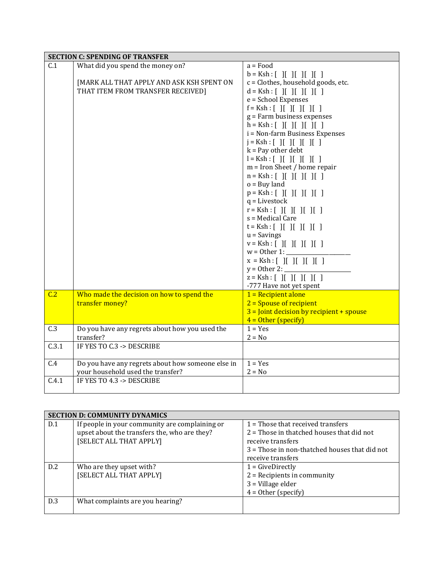|       | <b>SECTION C: SPENDING OF TRANSFER</b>            |                                                 |
|-------|---------------------------------------------------|-------------------------------------------------|
| C.1   | What did you spend the money on?                  | $a = Food$                                      |
|       |                                                   | $b = Ksh : [ \ ] [ \ ] [ \ ] [ \ ] [ \ ] [ \ ]$ |
|       | [MARK ALL THAT APPLY AND ASK KSH SPENT ON         | c = Clothes, household goods, etc.              |
|       | THAT ITEM FROM TRANSFER RECEIVED]                 | $d = Ksh : [ ] [ ] [ ] [ ] [ ] [ ]$             |
|       |                                                   | e = School Expenses                             |
|       |                                                   | $f = Ksh : [ ] [ ] [ ] [ ] [ ] [ ]$             |
|       |                                                   | g = Farm business expenses                      |
|       |                                                   | $h = Ksh : [ ] [ ] [ ] [ ] [ ] [ ]$             |
|       |                                                   | i = Non-farm Business Expenses                  |
|       |                                                   | $j = Ksh : [ ] [ ] [ ] [ ] [ ] [ ]$             |
|       |                                                   | $k = Pay$ other debt                            |
|       |                                                   | $l = Ksh : [ ] [ ] [ ] [ ] [ ] [ ]$             |
|       |                                                   | $m =$ Iron Sheet / home repair                  |
|       |                                                   | $n = Ksh : [ ] [ ] [ ] [ ] [ ] [ ] [ ]$         |
|       |                                                   | $o = Buy$ land                                  |
|       |                                                   | $p = Ksh : [ ] [ ] [ ] [ ] [ ] [ ]$             |
|       |                                                   | $q =$ Livestock                                 |
|       |                                                   | $r = Ksh : [ \ ] [ \ ] [ \ ] [ \ ] [ \ ] [ \ ]$ |
|       |                                                   | s = Medical Care                                |
|       |                                                   | $t = Ksh : [ ] [ ] [ ] [ ] [ ] [ ]$             |
|       |                                                   | $u =$ Savings                                   |
|       |                                                   | $v = Ksh : [ ] [ ] [ ] [ ] [ ] [ ]$             |
|       |                                                   | $w = 0$ ther 1: __                              |
|       |                                                   | $x = Ksh : [ \ ] [ \ ] [ \ ] [ \ ] [ \ ] [ \ ]$ |
|       |                                                   | $y = 0$ ther 2:                                 |
|       |                                                   | $z = Ksh : [ ] [ ] [ ] [ ] [ ] [ ]$             |
|       |                                                   | -777 Have not yet spent                         |
| C.2   | Who made the decision on how to spend the         | $1 = Recipient alone$                           |
|       | transfer money?                                   | $2 =$ Spouse of recipient                       |
|       |                                                   | $3 =$ Joint decision by recipient + spouse      |
|       |                                                   | $4 = Other (specific)$                          |
| C.3   | Do you have any regrets about how you used the    | $1 = Yes$                                       |
|       | transfer?                                         | $2 = No$                                        |
| C.3.1 | IF YES TO C.3 -> DESCRIBE                         |                                                 |
|       |                                                   |                                                 |
| C.4   | Do you have any regrets about how someone else in | $1 = Yes$                                       |
|       | your household used the transfer?                 | $2 = No$                                        |
| C.4.1 | IF YES TO 4.3 -> DESCRIBE                         |                                                 |
|       |                                                   |                                                 |

|     | <b>SECTION D: COMMUNITY DYNAMICS</b>           |                                                 |  |
|-----|------------------------------------------------|-------------------------------------------------|--|
| D.1 | If people in your community are complaining or | $1$ = Those that received transfers             |  |
|     | upset about the transfers the, who are they?   | $2$ = Those in thatched houses that did not     |  |
|     | [SELECT ALL THAT APPLY]                        | receive transfers                               |  |
|     |                                                | $3$ = Those in non-thatched houses that did not |  |
|     |                                                | receive transfers                               |  |
| D.2 | Who are they upset with?                       | $1 = GivenDirectly$                             |  |
|     | [SELECT ALL THAT APPLY]                        | $2$ = Recipients in community                   |  |
|     |                                                | $3$ = Village elder                             |  |
|     |                                                | $4 = 0$ ther (specify)                          |  |
| D.3 | What complaints are you hearing?               |                                                 |  |
|     |                                                |                                                 |  |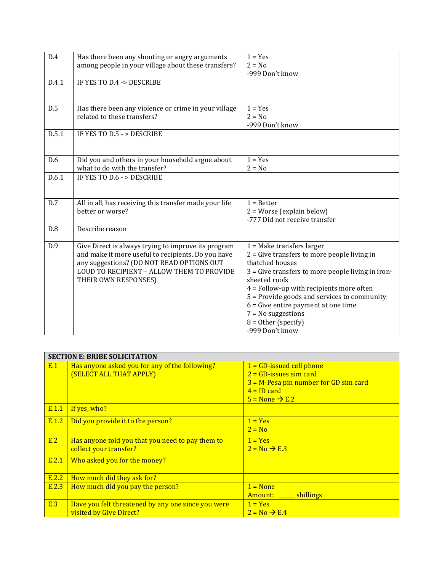| D.4   | Has there been any shouting or angry arguments<br>among people in your village about these transfers?                                                                                                                       | $1 = Yes$<br>$2 = No$<br>-999 Don't know                                                                                                                                                                                                                                                                                                                                           |
|-------|-----------------------------------------------------------------------------------------------------------------------------------------------------------------------------------------------------------------------------|------------------------------------------------------------------------------------------------------------------------------------------------------------------------------------------------------------------------------------------------------------------------------------------------------------------------------------------------------------------------------------|
| D.4.1 | IF YES TO D.4 -> DESCRIBE                                                                                                                                                                                                   |                                                                                                                                                                                                                                                                                                                                                                                    |
| D.5   | Has there been any violence or crime in your village<br>related to these transfers?                                                                                                                                         | $1 = Yes$<br>$2 = No$<br>-999 Don't know                                                                                                                                                                                                                                                                                                                                           |
| D.5.1 | IF YES TO D.5 - > DESCRIBE                                                                                                                                                                                                  |                                                                                                                                                                                                                                                                                                                                                                                    |
| D.6   | Did you and others in your household argue about<br>what to do with the transfer?                                                                                                                                           | $1 = Yes$<br>$2 = No$                                                                                                                                                                                                                                                                                                                                                              |
| D.6.1 | IF YES TO D.6 - > DESCRIBE                                                                                                                                                                                                  |                                                                                                                                                                                                                                                                                                                                                                                    |
| D.7   | All in all, has receiving this transfer made your life<br>better or worse?                                                                                                                                                  | $1 =$ Better<br>$2 = Worse (explain below)$<br>-777 Did not receive transfer                                                                                                                                                                                                                                                                                                       |
| D.8   | Describe reason                                                                                                                                                                                                             |                                                                                                                                                                                                                                                                                                                                                                                    |
| D.9   | Give Direct is always trying to improve its program<br>and make it more useful to recipients. Do you have<br>any suggestions? (DO NOT READ OPTIONS OUT<br>LOUD TO RECIPIENT - ALLOW THEM TO PROVIDE<br>THEIR OWN RESPONSES) | $1 = Make$ transfers larger<br>$2 =$ Give transfers to more people living in<br>thatched houses<br>$3 =$ Give transfers to more people living in iron-<br>sheeted roofs<br>$4 =$ Follow-up with recipients more often<br>5 = Provide goods and services to community<br>$6 =$ Give entire payment at one time<br>$7 = No$ suggestions<br>$8 = 0$ ther (specify)<br>-999 Don't know |

|       | <b>SECTION E: BRIBE SOLICITATION</b>               |                                         |  |
|-------|----------------------------------------------------|-----------------------------------------|--|
| E.1   | Has anyone asked you for any of the following?     | $1 =$ GD-issued cell phone              |  |
|       | (SELECT ALL THAT APPLY)                            | $2 =$ GD-issues sim card                |  |
|       |                                                    | $3 = M-Pesa$ pin number for GD sim card |  |
|       |                                                    | $4 = ID$ card                           |  |
|       |                                                    | $5 =$ None $\rightarrow$ E.2            |  |
| E.1.1 | If yes, who?                                       |                                         |  |
| E.1.2 | Did you provide it to the person?                  | $1 = Yes$                               |  |
|       |                                                    | $2 = No$                                |  |
| E.2   | Has anyone told you that you need to pay them to   | $1 = Yes$                               |  |
|       | collect your transfer?                             | $2 = No \rightarrow E.3$                |  |
| E.2.1 | Who asked you for the money?                       |                                         |  |
|       |                                                    |                                         |  |
| E.2.2 | How much did they ask for?                         |                                         |  |
| E.2.3 | How much did you pay the person?                   | $1 = \text{None}$                       |  |
|       |                                                    | Amount: shillings                       |  |
| E.3   | Have you felt threatened by any one since you were | $1 = Yes$                               |  |
|       | visited by Give Direct?                            | $2 = No \rightarrow E.4$                |  |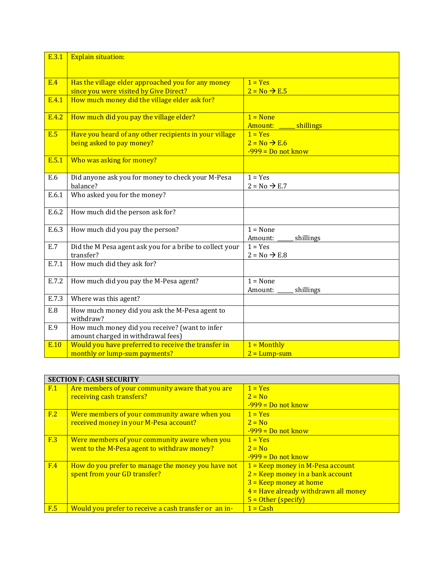| E.3.1      | <b>Explain situation:</b>                                                                    |                                                               |
|------------|----------------------------------------------------------------------------------------------|---------------------------------------------------------------|
|            |                                                                                              |                                                               |
| <b>E.4</b> | Has the village elder approached you for any money<br>since you were visited by Give Direct? | $1 = Yes$<br>$2 = No \rightarrow E.5$                         |
| E.4.1      | How much money did the village elder ask for?                                                |                                                               |
| E.4.2      | How much did you pay the village elder?                                                      | $1 = None$<br>Amount:<br>shillings                            |
| <b>E.5</b> | Have you heard of any other recipients in your village<br>being asked to pay money?          | $1 = Yes$<br>$2 = No \rightarrow E.6$<br>$-999 = Do$ not know |
| E.5.1      | Who was asking for money?                                                                    |                                                               |
| E.6        | Did anyone ask you for money to check your M-Pesa<br>balance?                                | $1 = Yes$<br>$2 = No \rightarrow E.7$                         |
| E.6.1      | Who asked you for the money?                                                                 |                                                               |
| E.6.2      | How much did the person ask for?                                                             |                                                               |
| E.6.3      | How much did you pay the person?                                                             | $1 = None$<br>shillings<br>Amount:                            |
| E.7        | Did the M Pesa agent ask you for a bribe to collect your<br>transfer?                        | $1 = Yes$<br>$2 = No \rightarrow E.8$                         |
| E.7.1      | How much did they ask for?                                                                   |                                                               |
| E.7.2      | How much did you pay the M-Pesa agent?                                                       | $1 = None$<br>shillings<br>Amount:                            |
| E.7.3      | Where was this agent?                                                                        |                                                               |
| E.8        | How much money did you ask the M-Pesa agent to<br>withdraw?                                  |                                                               |
| E.9        | How much money did you receive? (want to infer<br>amount charged in withdrawal fees)         |                                                               |
| E.10       | Would you have preferred to receive the transfer in<br>monthly or lump-sum payments?         | $1 =$ Monthly<br>$2 = Lump-sum$                               |

|     | <b>SECTION F: CASH SECURITY</b>                                               |                                        |  |
|-----|-------------------------------------------------------------------------------|----------------------------------------|--|
| F.1 | Are members of your community aware that you are<br>receiving cash transfers? | $1 = Yes$<br>$2 = No$                  |  |
|     |                                                                               | $-999 = Do$ not know                   |  |
| F.2 | Were members of your community aware when you                                 | $1 = Yes$                              |  |
|     | received money in your M-Pesa account?                                        | $2 = No$                               |  |
|     |                                                                               | $-999$ = Do not know                   |  |
| F.3 | Were members of your community aware when you                                 | $1 = Yes$                              |  |
|     | went to the M-Pesa agent to withdraw money?                                   | $2 = No$                               |  |
|     |                                                                               | $-999$ = Do not know                   |  |
| F.4 | How do you prefer to manage the money you have not                            | $1 =$ Keep money in M-Pesa account     |  |
|     | spent from your GD transfer?                                                  | $2$ = Keep money in a bank account     |  |
|     |                                                                               | $3 =$ Keep money at home               |  |
|     |                                                                               | $4$ = Have already withdrawn all money |  |
|     |                                                                               | $5 = 0$ ther (specify)                 |  |
| F.5 | Would you prefer to receive a cash transfer or an in-                         | $1 = Cash$                             |  |